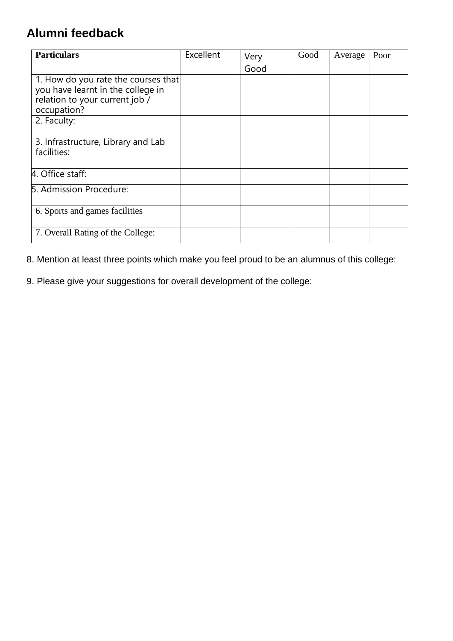## **Alumni feedback**

| <b>Particulars</b>                                                                                                        | Excellent | Very | Good | Average | Poor |
|---------------------------------------------------------------------------------------------------------------------------|-----------|------|------|---------|------|
|                                                                                                                           |           | Good |      |         |      |
| 1. How do you rate the courses that<br>you have learnt in the college in<br>relation to your current job /<br>occupation? |           |      |      |         |      |
| 2. Faculty:                                                                                                               |           |      |      |         |      |
| 3. Infrastructure, Library and Lab<br>facilities:                                                                         |           |      |      |         |      |
| 4. Office staff:                                                                                                          |           |      |      |         |      |
| 5. Admission Procedure:                                                                                                   |           |      |      |         |      |
| 6. Sports and games facilities                                                                                            |           |      |      |         |      |
| 7. Overall Rating of the College:                                                                                         |           |      |      |         |      |

8. Mention at least three points which make you feel proud to be an alumnus of this college:

9. Please give your suggestions for overall development of the college: